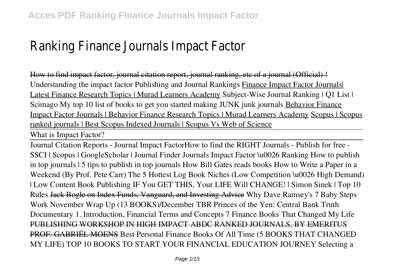## Ranking Finance Journals Impact Factor

How to find impact factor, journal citation report, journal ranking, etc of a journal (Official) ! *Understanding the impact factor Publishing and Journal Rankings* Finance Impact Factor Journals| Latest Finance Research Topics | Murad Learners Academy **Subject-Wise Journal Ranking | Q1 List | Scimago My top 10 list of books to get you started making JUNK junk journals** Behavior Finance Impact Factor Journals | Behavior Finance Research Topics | Murad Learners Academy Scopus | Scopus ranked journals | Best Scopus Indexed Journals | Scopus Vs Web of Science

What is Impact Factor?

Journal Citation Reports - Journal Impact Factor*How to find the RIGHT Journals - Publish for free - SSCI | Scopus | GoogleScholar | Journal Finder* Journals Impact Factor \u0026 Ranking **How to publish in top journals | 5 tips to publish in top journals** *How Bill Gates reads books How to Write a Paper in a Weekend (By Prof. Pete Carr) The 5 Hottest Log Book Niches (Low Competition \u0026 High Demand) | Low Content Book Publishing IF You GET THIS, Your LIFE Will CHANGE! | Simon Sinek | Top 10 Rules* Jack Bogle on Index Funds, Vanguard, and Investing Advice **Why Dave Ramsey's 7 Baby Steps Work** *November Wrap Up (13 BOOKS)/December TBR* Princes of the Yen: Central Bank Truth Documentary *1. Introduction, Financial Terms and Concepts 7 Finance Books That Changed My Life* PUBLISHING WORKSHOP IN HIGH IMPACT ABDC RANKED JOURNALS, BY EMERITUS PROF. GABRIËL MOENS *Best Personal Finance Books Of All Time (5 BOOKS THAT CHANGED MY LIFE) TOP 10 BOOKS TO START YOUR FINANCIAL EDUCATION JOURNEY Selecting a*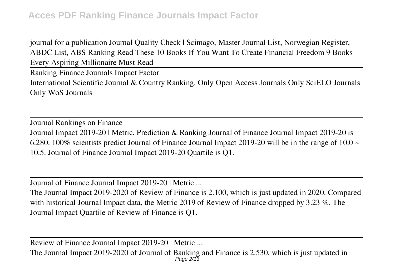*journal for a publication Journal Quality Check | Scimago, Master Journal List, Norwegian Register, ABDC List, ABS Ranking Read These 10 Books If You Want To Create Financial Freedom 9 Books Every Aspiring Millionaire Must Read*

Ranking Finance Journals Impact Factor International Scientific Journal & Country Ranking. Only Open Access Journals Only SciELO Journals Only WoS Journals

Journal Rankings on Finance Journal Impact 2019-20 | Metric, Prediction & Ranking Journal of Finance Journal Impact 2019-20 is 6.280. 100% scientists predict Journal of Finance Journal Impact 2019-20 will be in the range of 10.0  $\sim$ 10.5. Journal of Finance Journal Impact 2019-20 Quartile is Q1.

Journal of Finance Journal Impact 2019-20 | Metric ...

The Journal Impact 2019-2020 of Review of Finance is 2.100, which is just updated in 2020. Compared with historical Journal Impact data, the Metric 2019 of Review of Finance dropped by 3.23 %. The Journal Impact Quartile of Review of Finance is Q1.

Review of Finance Journal Impact 2019-20 | Metric ...

The Journal Impact 2019-2020 of Journal of Banking and Finance is 2.530, which is just updated in Page 2/13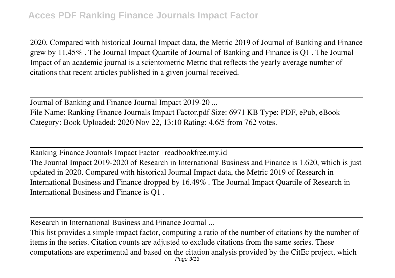2020. Compared with historical Journal Impact data, the Metric 2019 of Journal of Banking and Finance grew by 11.45% . The Journal Impact Quartile of Journal of Banking and Finance is Q1 . The Journal Impact of an academic journal is a scientometric Metric that reflects the yearly average number of citations that recent articles published in a given journal received.

Journal of Banking and Finance Journal Impact 2019-20 ... File Name: Ranking Finance Journals Impact Factor.pdf Size: 6971 KB Type: PDF, ePub, eBook Category: Book Uploaded: 2020 Nov 22, 13:10 Rating: 4.6/5 from 762 votes.

Ranking Finance Journals Impact Factor | readbookfree.my.id The Journal Impact 2019-2020 of Research in International Business and Finance is 1.620, which is just updated in 2020. Compared with historical Journal Impact data, the Metric 2019 of Research in International Business and Finance dropped by 16.49% . The Journal Impact Quartile of Research in International Business and Finance is Q1 .

Research in International Business and Finance Journal ...

This list provides a simple impact factor, computing a ratio of the number of citations by the number of items in the series. Citation counts are adjusted to exclude citations from the same series. These computations are experimental and based on the citation analysis provided by the CitEc project, which Page 3/13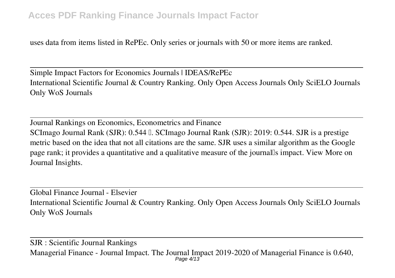uses data from items listed in RePEc. Only series or journals with 50 or more items are ranked.

Simple Impact Factors for Economics Journals | IDEAS/RePEc International Scientific Journal & Country Ranking. Only Open Access Journals Only SciELO Journals Only WoS Journals

Journal Rankings on Economics, Econometrics and Finance SCImago Journal Rank (SJR): 0.544  $\mathbb{I}$ . SCImago Journal Rank (SJR): 2019: 0.544. SJR is a prestige metric based on the idea that not all citations are the same. SJR uses a similar algorithm as the Google page rank; it provides a quantitative and a qualitative measure of the journalls impact. View More on Journal Insights.

Global Finance Journal - Elsevier International Scientific Journal & Country Ranking. Only Open Access Journals Only SciELO Journals Only WoS Journals

SJR : Scientific Journal Rankings Managerial Finance - Journal Impact. The Journal Impact 2019-2020 of Managerial Finance is 0.640, Page 4/13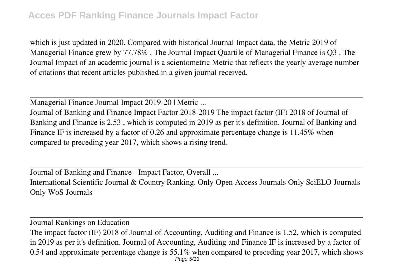which is just updated in 2020. Compared with historical Journal Impact data, the Metric 2019 of Managerial Finance grew by 77.78% . The Journal Impact Quartile of Managerial Finance is Q3 . The Journal Impact of an academic journal is a scientometric Metric that reflects the yearly average number of citations that recent articles published in a given journal received.

Managerial Finance Journal Impact 2019-20 | Metric ...

Journal of Banking and Finance Impact Factor 2018-2019 The impact factor (IF) 2018 of Journal of Banking and Finance is 2.53 , which is computed in 2019 as per it's definition. Journal of Banking and Finance IF is increased by a factor of 0.26 and approximate percentage change is 11.45% when compared to preceding year 2017, which shows a rising trend.

Journal of Banking and Finance - Impact Factor, Overall ... International Scientific Journal & Country Ranking. Only Open Access Journals Only SciELO Journals Only WoS Journals

Journal Rankings on Education

The impact factor (IF) 2018 of Journal of Accounting, Auditing and Finance is 1.52, which is computed in 2019 as per it's definition. Journal of Accounting, Auditing and Finance IF is increased by a factor of 0.54 and approximate percentage change is 55.1% when compared to preceding year 2017, which shows Page 5/13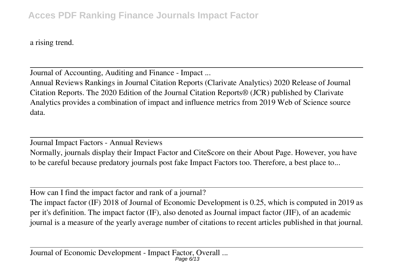a rising trend.

Journal of Accounting, Auditing and Finance - Impact ...

Annual Reviews Rankings in Journal Citation Reports (Clarivate Analytics) 2020 Release of Journal Citation Reports. The 2020 Edition of the Journal Citation Reports® (JCR) published by Clarivate Analytics provides a combination of impact and influence metrics from 2019 Web of Science source data.

Journal Impact Factors - Annual Reviews

Normally, journals display their Impact Factor and CiteScore on their About Page. However, you have to be careful because predatory journals post fake Impact Factors too. Therefore, a best place to...

How can I find the impact factor and rank of a journal?

The impact factor (IF) 2018 of Journal of Economic Development is 0.25, which is computed in 2019 as per it's definition. The impact factor (IF), also denoted as Journal impact factor (JIF), of an academic journal is a measure of the yearly average number of citations to recent articles published in that journal.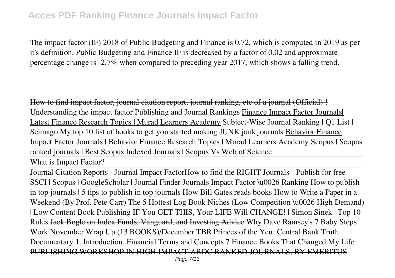The impact factor (IF) 2018 of Public Budgeting and Finance is 0.72, which is computed in 2019 as per it's definition. Public Budgeting and Finance IF is decreased by a factor of 0.02 and approximate percentage change is -2.7% when compared to preceding year 2017, which shows a falling trend.

How to find impact factor, journal citation report, journal ranking, etc of a journal (Official) ! *Understanding the impact factor Publishing and Journal Rankings* Finance Impact Factor Journals| Latest Finance Research Topics | Murad Learners Academy **Subject-Wise Journal Ranking | Q1 List | Scimago My top 10 list of books to get you started making JUNK junk journals** Behavior Finance Impact Factor Journals | Behavior Finance Research Topics | Murad Learners Academy Scopus | Scopus ranked journals | Best Scopus Indexed Journals | Scopus Vs Web of Science

What is Impact Factor?

Journal Citation Reports - Journal Impact Factor*How to find the RIGHT Journals - Publish for free - SSCI | Scopus | GoogleScholar | Journal Finder* Journals Impact Factor \u0026 Ranking **How to publish in top journals | 5 tips to publish in top journals** *How Bill Gates reads books How to Write a Paper in a Weekend (By Prof. Pete Carr) The 5 Hottest Log Book Niches (Low Competition \u0026 High Demand) | Low Content Book Publishing IF You GET THIS, Your LIFE Will CHANGE! | Simon Sinek | Top 10 Rules* Jack Bogle on Index Funds, Vanguard, and Investing Advice **Why Dave Ramsey's 7 Baby Steps Work** *November Wrap Up (13 BOOKS)/December TBR* Princes of the Yen: Central Bank Truth Documentary *1. Introduction, Financial Terms and Concepts 7 Finance Books That Changed My Life* PUBLISHING WORKSHOP IN HIGH IMPACT ABDC RANKED JOURNALS, BY EMERITUS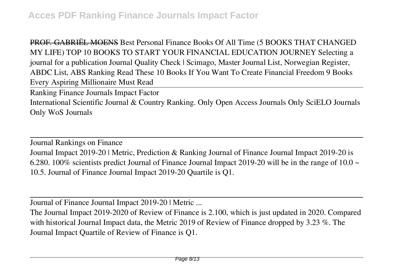PROF. GABRIËL MOENS *Best Personal Finance Books Of All Time (5 BOOKS THAT CHANGED MY LIFE) TOP 10 BOOKS TO START YOUR FINANCIAL EDUCATION JOURNEY Selecting a journal for a publication Journal Quality Check | Scimago, Master Journal List, Norwegian Register, ABDC List, ABS Ranking Read These 10 Books If You Want To Create Financial Freedom 9 Books Every Aspiring Millionaire Must Read*

Ranking Finance Journals Impact Factor International Scientific Journal & Country Ranking. Only Open Access Journals Only SciELO Journals Only WoS Journals

Journal Rankings on Finance Journal Impact 2019-20 | Metric, Prediction & Ranking Journal of Finance Journal Impact 2019-20 is 6.280. 100% scientists predict Journal of Finance Journal Impact 2019-20 will be in the range of 10.0  $\sim$ 10.5. Journal of Finance Journal Impact 2019-20 Quartile is Q1.

Journal of Finance Journal Impact 2019-20 | Metric ...

The Journal Impact 2019-2020 of Review of Finance is 2.100, which is just updated in 2020. Compared with historical Journal Impact data, the Metric 2019 of Review of Finance dropped by 3.23 %. The Journal Impact Quartile of Review of Finance is Q1.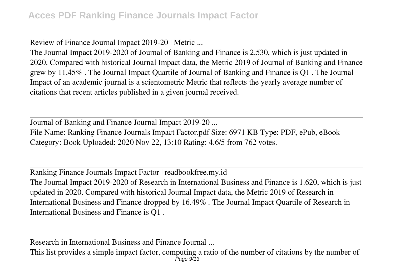Review of Finance Journal Impact 2019-20 | Metric ...

The Journal Impact 2019-2020 of Journal of Banking and Finance is 2.530, which is just updated in 2020. Compared with historical Journal Impact data, the Metric 2019 of Journal of Banking and Finance grew by 11.45% . The Journal Impact Quartile of Journal of Banking and Finance is Q1 . The Journal Impact of an academic journal is a scientometric Metric that reflects the yearly average number of citations that recent articles published in a given journal received.

Journal of Banking and Finance Journal Impact 2019-20 ... File Name: Ranking Finance Journals Impact Factor.pdf Size: 6971 KB Type: PDF, ePub, eBook Category: Book Uploaded: 2020 Nov 22, 13:10 Rating: 4.6/5 from 762 votes.

Ranking Finance Journals Impact Factor | readbookfree.my.id The Journal Impact 2019-2020 of Research in International Business and Finance is 1.620, which is just updated in 2020. Compared with historical Journal Impact data, the Metric 2019 of Research in International Business and Finance dropped by 16.49% . The Journal Impact Quartile of Research in International Business and Finance is Q1 .

Research in International Business and Finance Journal ...

This list provides a simple impact factor, computing a ratio of the number of citations by the number of  $P_{\text{age 9/13}}$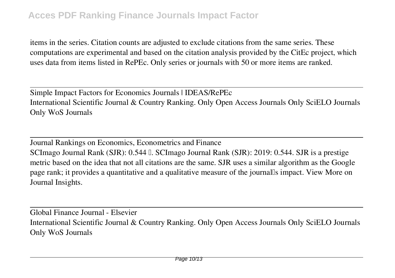items in the series. Citation counts are adjusted to exclude citations from the same series. These computations are experimental and based on the citation analysis provided by the CitEc project, which uses data from items listed in RePEc. Only series or journals with 50 or more items are ranked.

Simple Impact Factors for Economics Journals | IDEAS/RePEc International Scientific Journal & Country Ranking. Only Open Access Journals Only SciELO Journals Only WoS Journals

Journal Rankings on Economics, Econometrics and Finance SCImago Journal Rank (SJR): 0.544 L. SCImago Journal Rank (SJR): 2019: 0.544. SJR is a prestige metric based on the idea that not all citations are the same. SJR uses a similar algorithm as the Google page rank; it provides a quantitative and a qualitative measure of the journalls impact. View More on Journal Insights.

Global Finance Journal - Elsevier International Scientific Journal & Country Ranking. Only Open Access Journals Only SciELO Journals Only WoS Journals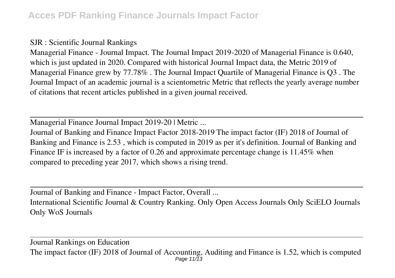SJR : Scientific Journal Rankings

Managerial Finance - Journal Impact. The Journal Impact 2019-2020 of Managerial Finance is 0.640, which is just updated in 2020. Compared with historical Journal Impact data, the Metric 2019 of Managerial Finance grew by 77.78% . The Journal Impact Quartile of Managerial Finance is Q3 . The Journal Impact of an academic journal is a scientometric Metric that reflects the yearly average number of citations that recent articles published in a given journal received.

Managerial Finance Journal Impact 2019-20 | Metric ...

Journal of Banking and Finance Impact Factor 2018-2019 The impact factor (IF) 2018 of Journal of Banking and Finance is 2.53 , which is computed in 2019 as per it's definition. Journal of Banking and Finance IF is increased by a factor of 0.26 and approximate percentage change is 11.45% when compared to preceding year 2017, which shows a rising trend.

Journal of Banking and Finance - Impact Factor, Overall ...

International Scientific Journal & Country Ranking. Only Open Access Journals Only SciELO Journals Only WoS Journals

Journal Rankings on Education The impact factor (IF) 2018 of Journal of Accounting, Auditing and Finance is 1.52, which is computed Page 11/13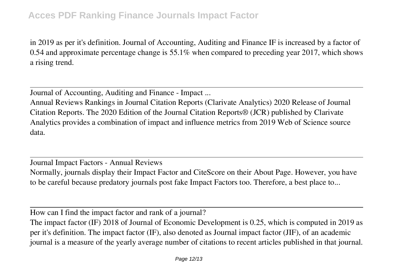in 2019 as per it's definition. Journal of Accounting, Auditing and Finance IF is increased by a factor of 0.54 and approximate percentage change is 55.1% when compared to preceding year 2017, which shows a rising trend.

Journal of Accounting, Auditing and Finance - Impact ...

Annual Reviews Rankings in Journal Citation Reports (Clarivate Analytics) 2020 Release of Journal Citation Reports. The 2020 Edition of the Journal Citation Reports® (JCR) published by Clarivate Analytics provides a combination of impact and influence metrics from 2019 Web of Science source data.

Journal Impact Factors - Annual Reviews Normally, journals display their Impact Factor and CiteScore on their About Page. However, you have to be careful because predatory journals post fake Impact Factors too. Therefore, a best place to...

How can I find the impact factor and rank of a journal?

The impact factor (IF) 2018 of Journal of Economic Development is 0.25, which is computed in 2019 as per it's definition. The impact factor (IF), also denoted as Journal impact factor (JIF), of an academic journal is a measure of the yearly average number of citations to recent articles published in that journal.